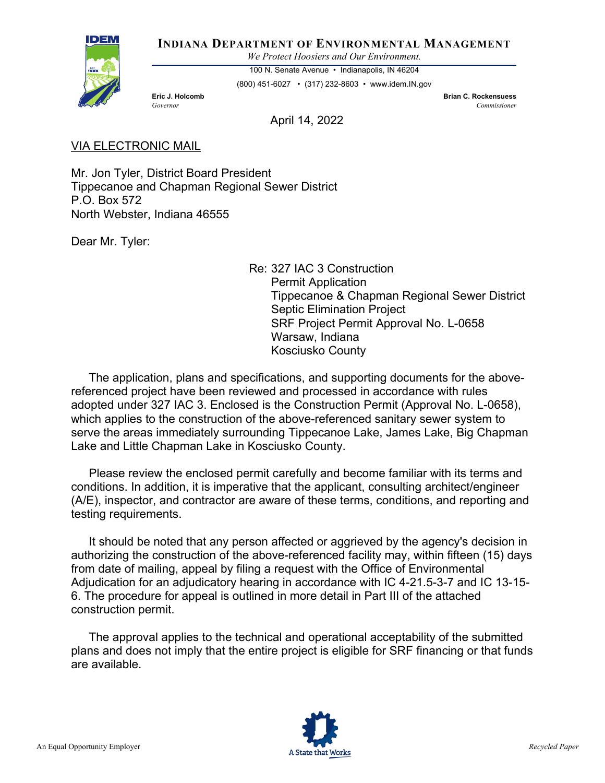

**INDIANA DEPARTMENT OF ENVIRONMENTAL MANAGEMENT**

*We Protect Hoosiers and Our Environment.*

100 N. Senate Avenue • Indianapolis, IN 46204

(800) 451-6027 • (317) 232-8603 • www.idem.IN.gov

**Eric J. Holcomb Brian C. Rockensuess** *Governor Commissioner* 

April 14, 2022

## VIA ELECTRONIC MAIL

Mr. Jon Tyler, District Board President Tippecanoe and Chapman Regional Sewer District P.O. Box 572 North Webster, Indiana 46555

Dear Mr. Tyler:

Re: 327 IAC 3 Construction Permit Application Tippecanoe & Chapman Regional Sewer District Septic Elimination Project SRF Project Permit Approval No. L-0658 Warsaw, Indiana Kosciusko County

The application, plans and specifications, and supporting documents for the abovereferenced project have been reviewed and processed in accordance with rules adopted under 327 IAC 3. Enclosed is the Construction Permit (Approval No. L-0658), which applies to the construction of the above-referenced sanitary sewer system to serve the areas immediately surrounding Tippecanoe Lake, James Lake, Big Chapman Lake and Little Chapman Lake in Kosciusko County.

Please review the enclosed permit carefully and become familiar with its terms and conditions. In addition, it is imperative that the applicant, consulting architect/engineer (A/E), inspector, and contractor are aware of these terms, conditions, and reporting and testing requirements.

It should be noted that any person affected or aggrieved by the agency's decision in authorizing the construction of the above-referenced facility may, within fifteen (15) days from date of mailing, appeal by filing a request with the Office of Environmental Adjudication for an adjudicatory hearing in accordance with IC 4-21.5-3-7 and IC 13-15- 6. The procedure for appeal is outlined in more detail in Part III of the attached construction permit.

The approval applies to the technical and operational acceptability of the submitted plans and does not imply that the entire project is eligible for SRF financing or that funds are available.

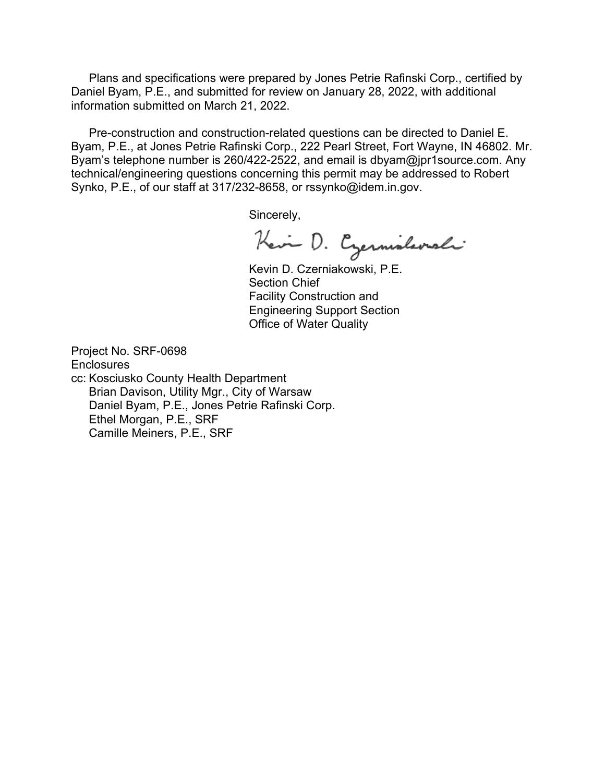Plans and specifications were prepared by Jones Petrie Rafinski Corp., certified by Daniel Byam, P.E., and submitted for review on January 28, 2022, with additional information submitted on March 21, 2022.

Pre-construction and construction-related questions can be directed to Daniel E. Byam, P.E., at Jones Petrie Rafinski Corp., 222 Pearl Street, Fort Wayne, IN 46802. Mr. Byam's telephone number is 260/422-2522, and email is dbyam@jpr1source.com. Any technical/engineering questions concerning this permit may be addressed to Robert Synko, P.E., of our staff at 317/232-8658, or rssynko@idem.in.gov.

Sincerely,

Kein D. Czernislavali

Kevin D. Czerniakowski, P.E. Section Chief Facility Construction and Engineering Support Section Office of Water Quality

Project No. SRF-0698 **Enclosures** cc: Kosciusko County Health Department Brian Davison, Utility Mgr., City of Warsaw Daniel Byam, P.E., Jones Petrie Rafinski Corp. Ethel Morgan, P.E., SRF Camille Meiners, P.E., SRF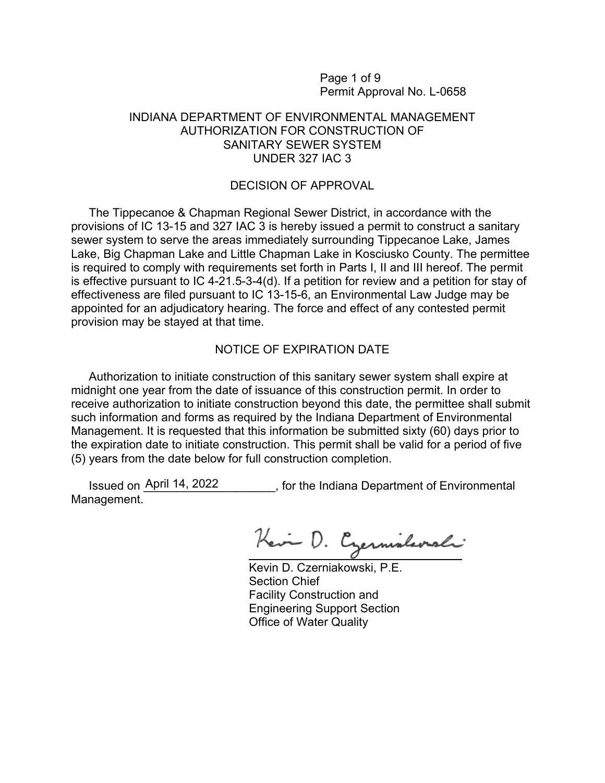Page 1 of 9 Permit Approval No. L-0658

#### INDIANA DEPARTMENT OF ENVIRONMENTAL MANAGEMENT AUTHORIZATION FOR CONSTRUCTION OF SANITARY SEWER SYSTEM UNDER 327 IAC 3

#### DECISION OF APPROVAL

The Tippecanoe & Chapman Regional Sewer District, in accordance with the provisions of IC 13-15 and 327 IAC 3 is hereby issued a permit to construct a sanitary sewer system to serve the areas immediately surrounding Tippecanoe Lake, James Lake, Big Chapman Lake and Little Chapman Lake in Kosciusko County. The permittee is required to comply with requirements set forth in Parts I, II and III hereof. The permit is effective pursuant to IC 4-21.5-3-4(d). If a petition for review and a petition for stay of effectiveness are filed pursuant to IC 13-15-6, an Environmental Law Judge may be appointed for an adjudicatory hearing. The force and effect of any contested permit provision may be stayed at that time.

### NOTICE OF EXPIRATION DATE

Authorization to initiate construction of this sanitary sewer system shall expire at midnight one year from the date of issuance of this construction permit. In order to receive authorization to initiate construction beyond this date, the permittee shall submit such information and forms as required by the Indiana Department of Environmental Management. It is requested that this information be submitted sixty (60) days prior to the expiration date to initiate construction. This permit shall be valid for a period of five (5) years from the date below for full construction completion.

Issued on April 14, 2022 \_\_\_\_\_\_\_, for the Indiana Department of Environmental Management.

Kein D. Czernislavali

Kevin D. Czerniakowski, P.E. Section Chief Facility Construction and Engineering Support Section Office of Water Quality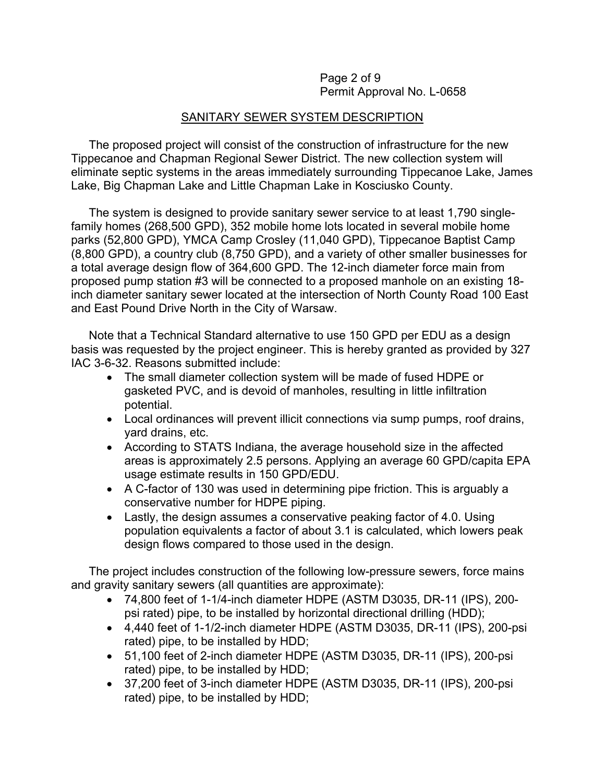Page 2 of 9 Permit Approval No. L-0658

## SANITARY SEWER SYSTEM DESCRIPTION

The proposed project will consist of the construction of infrastructure for the new Tippecanoe and Chapman Regional Sewer District. The new collection system will eliminate septic systems in the areas immediately surrounding Tippecanoe Lake, James Lake, Big Chapman Lake and Little Chapman Lake in Kosciusko County.

The system is designed to provide sanitary sewer service to at least 1,790 singlefamily homes (268,500 GPD), 352 mobile home lots located in several mobile home parks (52,800 GPD), YMCA Camp Crosley (11,040 GPD), Tippecanoe Baptist Camp (8,800 GPD), a country club (8,750 GPD), and a variety of other smaller businesses for a total average design flow of 364,600 GPD. The 12-inch diameter force main from proposed pump station #3 will be connected to a proposed manhole on an existing 18 inch diameter sanitary sewer located at the intersection of North County Road 100 East and East Pound Drive North in the City of Warsaw.

Note that a Technical Standard alternative to use 150 GPD per EDU as a design basis was requested by the project engineer. This is hereby granted as provided by 327 IAC 3-6-32. Reasons submitted include:

- The small diameter collection system will be made of fused HDPE or gasketed PVC, and is devoid of manholes, resulting in little infiltration potential.
- Local ordinances will prevent illicit connections via sump pumps, roof drains, yard drains, etc.
- According to STATS Indiana, the average household size in the affected areas is approximately 2.5 persons. Applying an average 60 GPD/capita EPA usage estimate results in 150 GPD/EDU.
- A C-factor of 130 was used in determining pipe friction. This is arguably a conservative number for HDPE piping.
- Lastly, the design assumes a conservative peaking factor of 4.0. Using population equivalents a factor of about 3.1 is calculated, which lowers peak design flows compared to those used in the design.

The project includes construction of the following low-pressure sewers, force mains and gravity sanitary sewers (all quantities are approximate):

- 74,800 feet of 1-1/4-inch diameter HDPE (ASTM D3035, DR-11 (IPS), 200 psi rated) pipe, to be installed by horizontal directional drilling (HDD);
- 4,440 feet of 1-1/2-inch diameter HDPE (ASTM D3035, DR-11 (IPS), 200-psi rated) pipe, to be installed by HDD;
- 51,100 feet of 2-inch diameter HDPE (ASTM D3035, DR-11 (IPS), 200-psi rated) pipe, to be installed by HDD;
- 37,200 feet of 3-inch diameter HDPE (ASTM D3035, DR-11 (IPS), 200-psi rated) pipe, to be installed by HDD;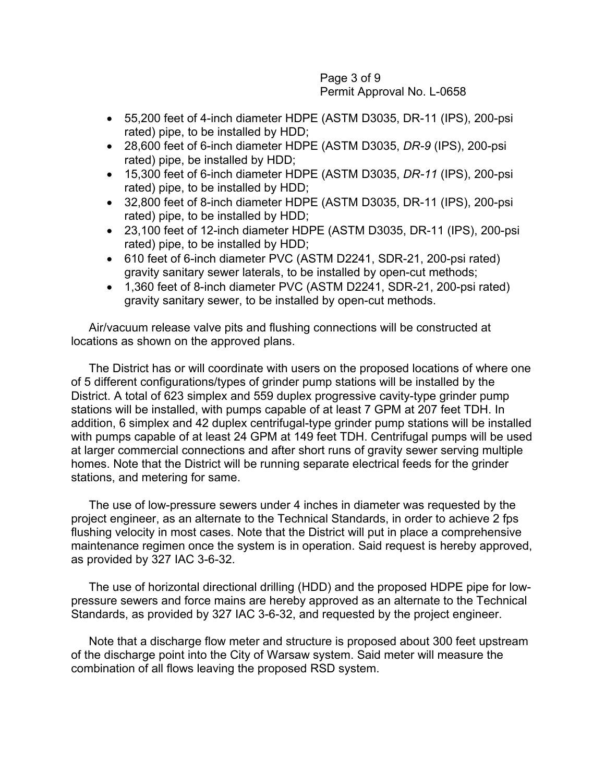Page 3 of 9 Permit Approval No. L-0658

- 55,200 feet of 4-inch diameter HDPE (ASTM D3035, DR-11 (IPS), 200-psi rated) pipe, to be installed by HDD;
- 28,600 feet of 6-inch diameter HDPE (ASTM D3035, *DR-9* (IPS), 200-psi rated) pipe, be installed by HDD;
- 15,300 feet of 6-inch diameter HDPE (ASTM D3035, *DR-11* (IPS), 200-psi rated) pipe, to be installed by HDD;
- 32,800 feet of 8-inch diameter HDPE (ASTM D3035, DR-11 (IPS), 200-psi rated) pipe, to be installed by HDD;
- 23,100 feet of 12-inch diameter HDPE (ASTM D3035, DR-11 (IPS), 200-psi rated) pipe, to be installed by HDD;
- 610 feet of 6-inch diameter PVC (ASTM D2241, SDR-21, 200-psi rated) gravity sanitary sewer laterals, to be installed by open-cut methods;
- 1,360 feet of 8-inch diameter PVC (ASTM D2241, SDR-21, 200-psi rated) gravity sanitary sewer, to be installed by open-cut methods.

Air/vacuum release valve pits and flushing connections will be constructed at locations as shown on the approved plans.

The District has or will coordinate with users on the proposed locations of where one of 5 different configurations/types of grinder pump stations will be installed by the District. A total of 623 simplex and 559 duplex progressive cavity-type grinder pump stations will be installed, with pumps capable of at least 7 GPM at 207 feet TDH. In addition, 6 simplex and 42 duplex centrifugal-type grinder pump stations will be installed with pumps capable of at least 24 GPM at 149 feet TDH. Centrifugal pumps will be used at larger commercial connections and after short runs of gravity sewer serving multiple homes. Note that the District will be running separate electrical feeds for the grinder stations, and metering for same.

The use of low-pressure sewers under 4 inches in diameter was requested by the project engineer, as an alternate to the Technical Standards, in order to achieve 2 fps flushing velocity in most cases. Note that the District will put in place a comprehensive maintenance regimen once the system is in operation. Said request is hereby approved, as provided by 327 IAC 3-6-32.

The use of horizontal directional drilling (HDD) and the proposed HDPE pipe for lowpressure sewers and force mains are hereby approved as an alternate to the Technical Standards, as provided by 327 IAC 3-6-32, and requested by the project engineer.

Note that a discharge flow meter and structure is proposed about 300 feet upstream of the discharge point into the City of Warsaw system. Said meter will measure the combination of all flows leaving the proposed RSD system.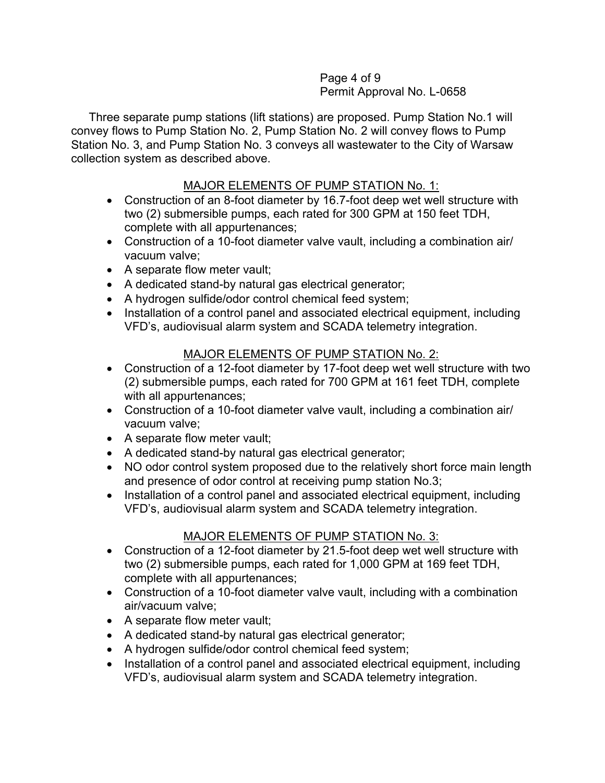### Page 4 of 9 Permit Approval No. L-0658

Three separate pump stations (lift stations) are proposed. Pump Station No.1 will convey flows to Pump Station No. 2, Pump Station No. 2 will convey flows to Pump Station No. 3, and Pump Station No. 3 conveys all wastewater to the City of Warsaw collection system as described above.

# MAJOR ELEMENTS OF PUMP STATION No. 1:

- Construction of an 8-foot diameter by 16.7-foot deep wet well structure with two (2) submersible pumps, each rated for 300 GPM at 150 feet TDH, complete with all appurtenances;
- Construction of a 10-foot diameter valve vault, including a combination air/ vacuum valve;
- A separate flow meter vault;
- A dedicated stand-by natural gas electrical generator;
- A hydrogen sulfide/odor control chemical feed system;
- Installation of a control panel and associated electrical equipment, including VFD's, audiovisual alarm system and SCADA telemetry integration.

# MAJOR ELEMENTS OF PUMP STATION No. 2:

- Construction of a 12-foot diameter by 17-foot deep wet well structure with two (2) submersible pumps, each rated for 700 GPM at 161 feet TDH, complete with all appurtenances;
- Construction of a 10-foot diameter valve vault, including a combination air/ vacuum valve;
- A separate flow meter vault;
- A dedicated stand-by natural gas electrical generator;
- NO odor control system proposed due to the relatively short force main length and presence of odor control at receiving pump station No.3;
- Installation of a control panel and associated electrical equipment, including VFD's, audiovisual alarm system and SCADA telemetry integration.

# MAJOR ELEMENTS OF PUMP STATION No. 3:

- Construction of a 12-foot diameter by 21.5-foot deep wet well structure with two (2) submersible pumps, each rated for 1,000 GPM at 169 feet TDH, complete with all appurtenances;
- Construction of a 10-foot diameter valve vault, including with a combination air/vacuum valve;
- A separate flow meter vault;
- A dedicated stand-by natural gas electrical generator;
- A hydrogen sulfide/odor control chemical feed system;
- Installation of a control panel and associated electrical equipment, including VFD's, audiovisual alarm system and SCADA telemetry integration.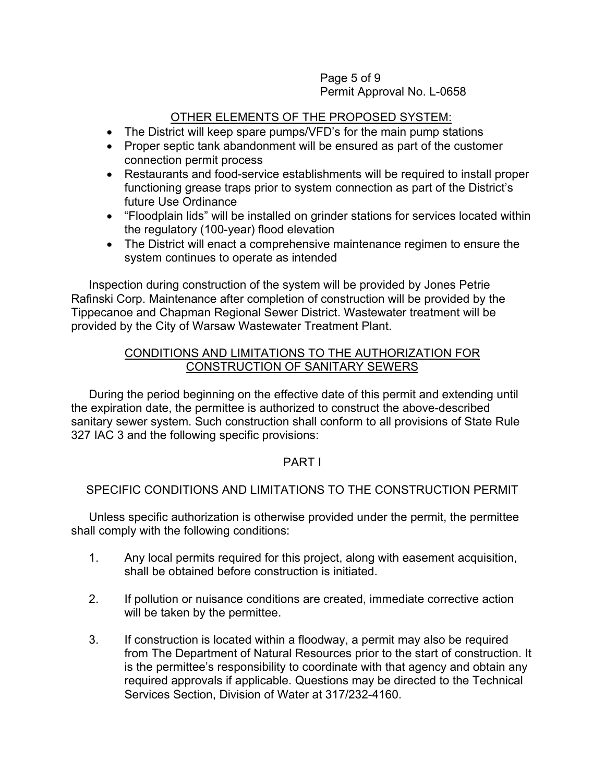### Page 5 of 9 Permit Approval No. L-0658

# OTHER ELEMENTS OF THE PROPOSED SYSTEM:

- The District will keep spare pumps/VFD's for the main pump stations
- Proper septic tank abandonment will be ensured as part of the customer connection permit process
- Restaurants and food-service establishments will be required to install proper functioning grease traps prior to system connection as part of the District's future Use Ordinance
- "Floodplain lids" will be installed on grinder stations for services located within the regulatory (100-year) flood elevation
- The District will enact a comprehensive maintenance regimen to ensure the system continues to operate as intended

Inspection during construction of the system will be provided by Jones Petrie Rafinski Corp. Maintenance after completion of construction will be provided by the Tippecanoe and Chapman Regional Sewer District. Wastewater treatment will be provided by the City of Warsaw Wastewater Treatment Plant.

## CONDITIONS AND LIMITATIONS TO THE AUTHORIZATION FOR CONSTRUCTION OF SANITARY SEWERS

During the period beginning on the effective date of this permit and extending until the expiration date, the permittee is authorized to construct the above-described sanitary sewer system. Such construction shall conform to all provisions of State Rule 327 IAC 3 and the following specific provisions:

# PART I

# SPECIFIC CONDITIONS AND LIMITATIONS TO THE CONSTRUCTION PERMIT

Unless specific authorization is otherwise provided under the permit, the permittee shall comply with the following conditions:

- 1. Any local permits required for this project, along with easement acquisition, shall be obtained before construction is initiated.
- 2. If pollution or nuisance conditions are created, immediate corrective action will be taken by the permittee.
- 3. If construction is located within a floodway, a permit may also be required from The Department of Natural Resources prior to the start of construction. It is the permittee's responsibility to coordinate with that agency and obtain any required approvals if applicable. Questions may be directed to the Technical Services Section, Division of Water at 317/232-4160.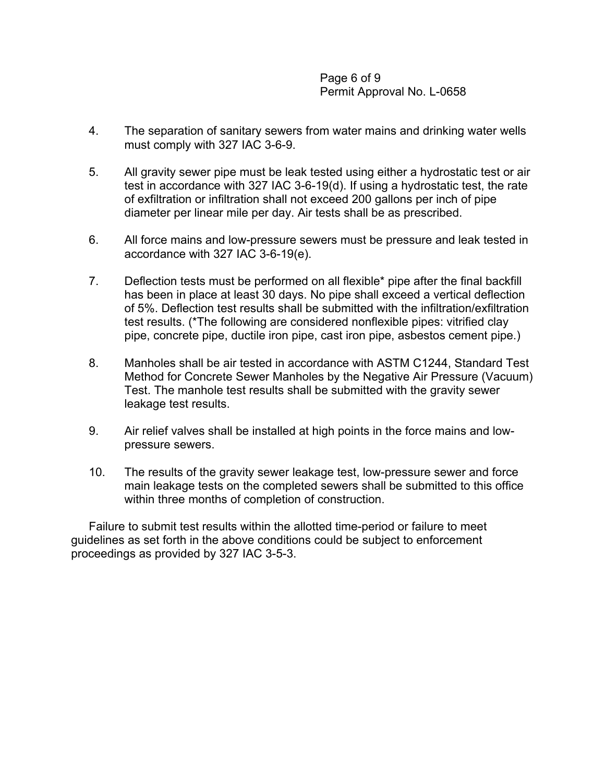Page 6 of 9 Permit Approval No. L-0658

- 4. The separation of sanitary sewers from water mains and drinking water wells must comply with 327 IAC 3-6-9.
- 5. All gravity sewer pipe must be leak tested using either a hydrostatic test or air test in accordance with 327 IAC 3-6-19(d). If using a hydrostatic test, the rate of exfiltration or infiltration shall not exceed 200 gallons per inch of pipe diameter per linear mile per day. Air tests shall be as prescribed.
- 6. All force mains and low-pressure sewers must be pressure and leak tested in accordance with 327 IAC 3-6-19(e).
- 7. Deflection tests must be performed on all flexible\* pipe after the final backfill has been in place at least 30 days. No pipe shall exceed a vertical deflection of 5%. Deflection test results shall be submitted with the infiltration/exfiltration test results. (\*The following are considered nonflexible pipes: vitrified clay pipe, concrete pipe, ductile iron pipe, cast iron pipe, asbestos cement pipe.)
- 8. Manholes shall be air tested in accordance with ASTM C1244, Standard Test Method for Concrete Sewer Manholes by the Negative Air Pressure (Vacuum) Test. The manhole test results shall be submitted with the gravity sewer leakage test results.
- 9. Air relief valves shall be installed at high points in the force mains and lowpressure sewers.
- 10. The results of the gravity sewer leakage test, low-pressure sewer and force main leakage tests on the completed sewers shall be submitted to this office within three months of completion of construction.

Failure to submit test results within the allotted time-period or failure to meet guidelines as set forth in the above conditions could be subject to enforcement proceedings as provided by 327 IAC 3-5-3.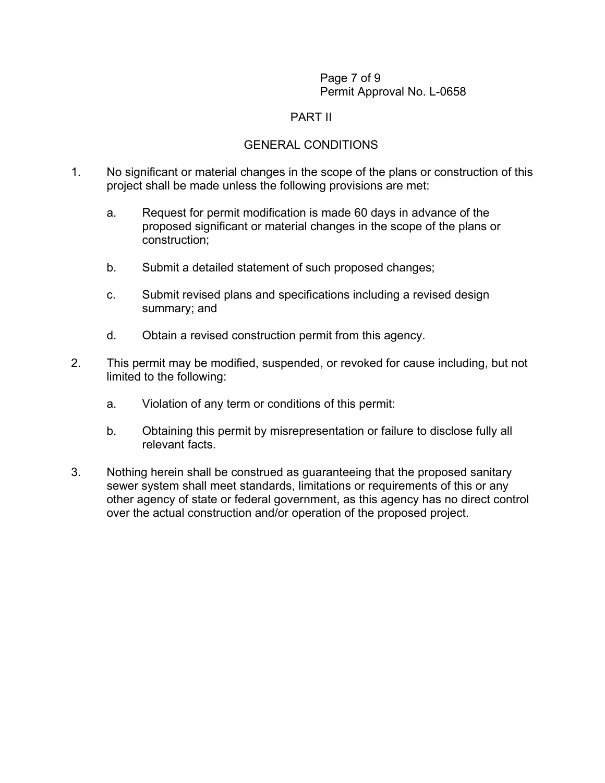#### Page 7 of 9 Permit Approval No. L-0658

### PART II

# GENERAL CONDITIONS

- 1. No significant or material changes in the scope of the plans or construction of this project shall be made unless the following provisions are met:
	- a. Request for permit modification is made 60 days in advance of the proposed significant or material changes in the scope of the plans or construction;
	- b. Submit a detailed statement of such proposed changes;
	- c. Submit revised plans and specifications including a revised design summary; and
	- d. Obtain a revised construction permit from this agency.
- 2. This permit may be modified, suspended, or revoked for cause including, but not limited to the following:
	- a. Violation of any term or conditions of this permit:
	- b. Obtaining this permit by misrepresentation or failure to disclose fully all relevant facts.
- 3. Nothing herein shall be construed as guaranteeing that the proposed sanitary sewer system shall meet standards, limitations or requirements of this or any other agency of state or federal government, as this agency has no direct control over the actual construction and/or operation of the proposed project.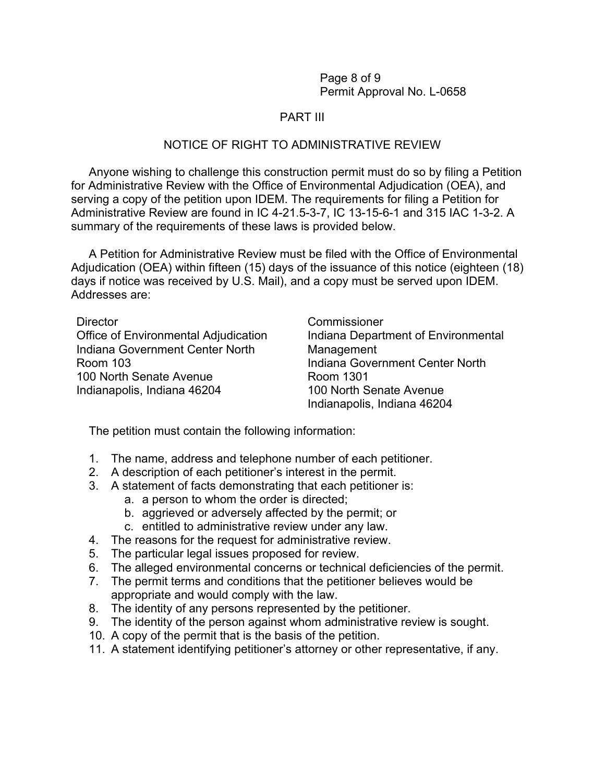Page 8 of 9 Permit Approval No. L-0658

### PART III

#### NOTICE OF RIGHT TO ADMINISTRATIVE REVIEW

Anyone wishing to challenge this construction permit must do so by filing a Petition for Administrative Review with the Office of Environmental Adjudication (OEA), and serving a copy of the petition upon IDEM. The requirements for filing a Petition for Administrative Review are found in IC 4-21.5-3-7, IC 13-15-6-1 and 315 IAC 1-3-2. A summary of the requirements of these laws is provided below.

A Petition for Administrative Review must be filed with the Office of Environmental Adjudication (OEA) within fifteen (15) days of the issuance of this notice (eighteen (18) days if notice was received by U.S. Mail), and a copy must be served upon IDEM. Addresses are:

Director Commissioner Office of Environmental Adjudication Indiana Department of Environmental Indiana Government Center North Management Room 103 Indiana Government Center North 100 North Senate Avenue **Room 1301** Indianapolis, Indiana 46204 100 North Senate Avenue Indianapolis, Indiana 46204

The petition must contain the following information:

- 1. The name, address and telephone number of each petitioner.
- 2. A description of each petitioner's interest in the permit.
- 3. A statement of facts demonstrating that each petitioner is:
	- a. a person to whom the order is directed;
	- b. aggrieved or adversely affected by the permit; or
	- c. entitled to administrative review under any law.
- 4. The reasons for the request for administrative review.
- 5. The particular legal issues proposed for review.
- 6. The alleged environmental concerns or technical deficiencies of the permit.
- 7. The permit terms and conditions that the petitioner believes would be appropriate and would comply with the law.
- 8. The identity of any persons represented by the petitioner.
- 9. The identity of the person against whom administrative review is sought.
- 10. A copy of the permit that is the basis of the petition.
- 11. A statement identifying petitioner's attorney or other representative, if any.